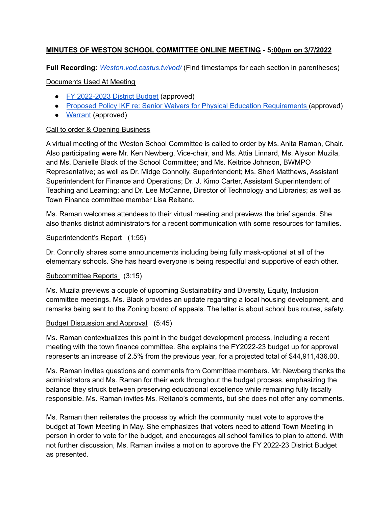# **MINUTES OF WESTON SCHOOL COMMITTEE ONLINE MEETING - 5:00pm on 3/7/2022**

**Full Recording:** *[Weston.vod.castus.tv/vod/](https://weston.vod.castus.tv/vod/)* (Find timestamps for each section in parentheses)

# Documents Used At Meeting

- FY [2022-2023](http://www.westonschools.org/wp-content/uploads/2022/04/Weston-Public-Schools-Mail-FY23-Recommended-Budget-for-tonight-1.pdf) District Budget (approved)
- Proposed Policy IKF re: Senior Waivers for Physical Education [Requirements](http://www.westonschools.org/wp-content/uploads/2022/03/Policy-IKF_-High-School-Graduation-and-Physical-Education-Requirements.pdf) (approved)
- [Warrant](http://www.westonschools.org/wp-content/uploads/2022/04/3.7-warrant-1.pdf) (approved)

# Call to order & Opening Business

A virtual meeting of the Weston School Committee is called to order by Ms. Anita Raman, Chair. Also participating were Mr. Ken Newberg, Vice-chair, and Ms. Attia Linnard, Ms. Alyson Muzila, and Ms. Danielle Black of the School Committee; and Ms. Keitrice Johnson, BWMPO Representative; as well as Dr. Midge Connolly, Superintendent; Ms. Sheri Matthews, Assistant Superintendent for Finance and Operations; Dr. J. Kimo Carter, Assistant Superintendent of Teaching and Learning; and Dr. Lee McCanne, Director of Technology and Libraries; as well as Town Finance committee member Lisa Reitano.

Ms. Raman welcomes attendees to their virtual meeting and previews the brief agenda. She also thanks district administrators for a recent communication with some resources for families.

#### Superintendent's Report (1:55)

Dr. Connolly shares some announcements including being fully mask-optional at all of the elementary schools. She has heard everyone is being respectful and supportive of each other.

# Subcommittee Reports (3:15)

Ms. Muzila previews a couple of upcoming Sustainability and Diversity, Equity, Inclusion committee meetings. Ms. Black provides an update regarding a local housing development, and remarks being sent to the Zoning board of appeals. The letter is about school bus routes, safety.

#### Budget Discussion and Approval (5:45)

Ms. Raman contextualizes this point in the budget development process, including a recent meeting with the town finance committee. She explains the FY2022-23 budget up for approval represents an increase of 2.5% from the previous year, for a projected total of \$44,911,436.00.

Ms. Raman invites questions and comments from Committee members. Mr. Newberg thanks the administrators and Ms. Raman for their work throughout the budget process, emphasizing the balance they struck between preserving educational excellence while remaining fully fiscally responsible. Ms. Raman invites Ms. Reitano's comments, but she does not offer any comments.

Ms. Raman then reiterates the process by which the community must vote to approve the budget at Town Meeting in May. She emphasizes that voters need to attend Town Meeting in person in order to vote for the budget, and encourages all school families to plan to attend. With not further discussion, Ms. Raman invites a motion to approve the FY 2022-23 District Budget as presented.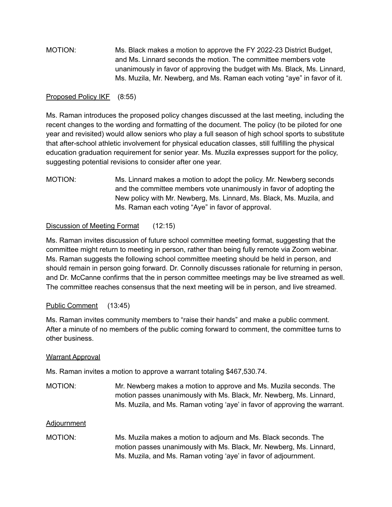MOTION: Ms. Black makes a motion to approve the FY 2022-23 District Budget, and Ms. Linnard seconds the motion. The committee members vote unanimously in favor of approving the budget with Ms. Black, Ms. Linnard, Ms. Muzila, Mr. Newberg, and Ms. Raman each voting "aye" in favor of it.

#### Proposed Policy IKF (8:55)

Ms. Raman introduces the proposed policy changes discussed at the last meeting, including the recent changes to the wording and formatting of the document. The policy (to be piloted for one year and revisited) would allow seniors who play a full season of high school sports to substitute that after-school athletic involvement for physical education classes, still fulfilling the physical education graduation requirement for senior year. Ms. Muzila expresses support for the policy, suggesting potential revisions to consider after one year.

MOTION: Ms. Linnard makes a motion to adopt the policy. Mr. Newberg seconds and the committee members vote unanimously in favor of adopting the New policy with Mr. Newberg, Ms. Linnard, Ms. Black, Ms. Muzila, and Ms. Raman each voting "Aye" in favor of approval.

# Discussion of Meeting Format (12:15)

Ms. Raman invites discussion of future school committee meeting format, suggesting that the committee might return to meeting in person, rather than being fully remote via Zoom webinar. Ms. Raman suggests the following school committee meeting should be held in person, and should remain in person going forward. Dr. Connolly discusses rationale for returning in person, and Dr. McCanne confirms that the in person committee meetings may be live streamed as well. The committee reaches consensus that the next meeting will be in person, and live streamed.

# Public Comment (13:45)

Ms. Raman invites community members to "raise their hands" and make a public comment. After a minute of no members of the public coming forward to comment, the committee turns to other business.

# Warrant Approval

Ms. Raman invites a motion to approve a warrant totaling \$467,530.74.

MOTION: Mr. Newberg makes a motion to approve and Ms. Muzila seconds. The motion passes unanimously with Ms. Black, Mr. Newberg, Ms. Linnard, Ms. Muzila, and Ms. Raman voting 'aye' in favor of approving the warrant.

#### Adjournment

MOTION: Ms. Muzila makes a motion to adjourn and Ms. Black seconds. The motion passes unanimously with Ms. Black, Mr. Newberg, Ms. Linnard, Ms. Muzila, and Ms. Raman voting 'aye' in favor of adjournment.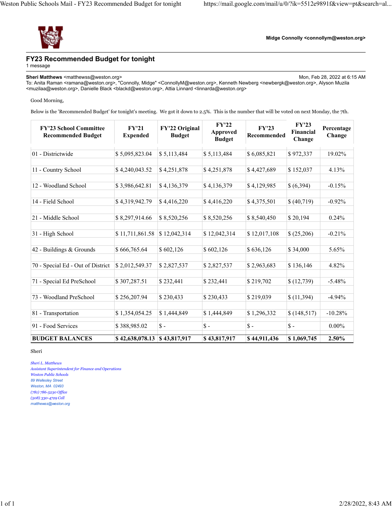

**Midge Connolly <connollym@weston.org>**

#### **FY23 Recommended Budget for tonight**

1 message

**Sheri Matthews** <matthewss@weston.org> Mon, Feb 28, 2022 at 6:15 AM To: Anita Raman <ramana@weston.org>, "Connolly, Midge" <ConnollyM@weston.org>, Kenneth Newberg <newbergk@weston.org>, Alyson Muzila <muzilaa@weston.org>, Danielle Black <blackd@weston.org>, Attia Linnard <linnarda@weston.org>

#### Good Morning,

Below is the 'Recommended Budget' for tonight's meeting. We got it down to 2.5%. This is the number that will be voted on next Monday, the 7th.

| <b>FY'23 School Committee</b><br><b>Recommended Budget</b> | FY'21<br><b>Expended</b> | FY'22 Original<br><b>Budget</b> | FY'22<br>Approved<br><b>Budget</b> | <b>FY'23</b><br>Recommended | FY'23<br>Financial<br>Change | Percentage<br>Change |
|------------------------------------------------------------|--------------------------|---------------------------------|------------------------------------|-----------------------------|------------------------------|----------------------|
| 01 - Districtwide                                          | \$5,095,823.04           | \$5,113,484                     | \$5,113,484                        | \$6,085,821                 | \$972,337                    | 19.02%               |
| 11 - Country School                                        | \$4,240,043.52           | \$4,251,878                     | \$4,251,878                        | \$4,427,689                 | \$152,037                    | 4.13%                |
| 12 - Woodland School                                       | \$3,986,642.81           | \$4,136,379                     | \$4,136,379                        | \$4,129,985                 | \$(6,394)                    | $-0.15%$             |
| 14 - Field School                                          | \$4,319,942.79           | \$4,416,220                     | \$4,416,220                        | \$4,375,501                 | \$ (40,719)                  | $-0.92%$             |
| 21 - Middle School                                         | \$8,297,914.66           | \$8,520,256                     | \$8,520,256                        | \$8,540,450                 | \$20,194                     | 0.24%                |
| 31 - High School                                           | \$11,711,861.58          | \$12,042,314                    | \$12,042,314                       | \$12,017,108                | \$ (25,206)                  | $-0.21%$             |
| 42 - Buildings & Grounds                                   | \$666,765.64             | \$602,126                       | \$602,126                          | \$636,126                   | \$34,000                     | 5.65%                |
| 70 - Special Ed - Out of District                          | \$2,012,549.37           | \$2,827,537                     | \$2,827,537                        | \$2,963,683                 | \$136,146                    | 4.82%                |
| 71 - Special Ed PreSchool                                  | \$307,287.51             | \$232,441                       | \$232,441                          | \$219,702                   | \$(12,739)                   | $-5.48%$             |
| 73 - Woodland PreSchool                                    | \$256,207.94             | \$230,433                       | \$230,433                          | \$219,039                   | \$(11,394)                   | $-4.94%$             |
| 81 - Transportation                                        | \$1,354,054.25           | \$1,444,849                     | \$1,444,849                        | \$1,296,332                 | \$(148,517)                  | $-10.28%$            |
| 91 - Food Services                                         | \$388,985.02             | $\mathsf{\$}$ -                 | $\mathsf{\$}$ -                    | $\mathsf{\$}$ -             | $\mathsf{\$}$ -              | $0.00\%$             |
| <b>BUDGET BALANCES</b>                                     | \$42,638,078.13          | \$43,817,917                    | \$43,817,917                       | \$44,911,436                | \$1,069,745                  | 2.50%                |

Sheri

*Sheri L. Matthews Assistant Superintendent for Finance and Operations Weston Public Schools 89 Wellesley Street Weston, MA 02493 (781) 786-5230 Office (508) 330-4729 Cell matthewss@weston.org*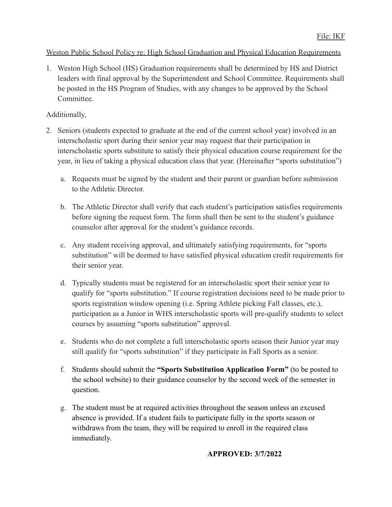# Weston Public School Policy re: High School Graduation and Physical Education Requirements

1. Weston High School (HS) Graduation requirements shall be determined by HS and District leaders with final approval by the Superintendent and School Committee. Requirements shall be posted in the HS Program of Studies, with any changes to be approved by the School Committee.

# Additionally,

- 2. Seniors (students expected to graduate at the end of the current school year) involved in an interscholastic sport during their senior year may request that their participation in interscholastic sports substitute to satisfy their physical education course requirement for the year, in lieu of taking a physical education class that year. (Hereinafter "sports substitution")
	- a. Requests must be signed by the student and their parent or guardian before submission to the Athletic Director.
	- b. The Athletic Director shall verify that each student's participation satisfies requirements before signing the request form. The form shall then be sent to the student's guidance counselor after approval for the student's guidance records.
	- c. Any student receiving approval, and ultimately satisfying requirements, for "sports substitution" will be deemed to have satisfied physical education credit requirements for their senior year.
	- d. Typically students must be registered for an interscholastic sport their senior year to qualify for "sports substitution." If course registration decisions need to be made prior to sports registration window opening (i.e. Spring Athlete picking Fall classes, etc.), participation as a Junior in WHS interscholastic sports will pre-qualify students to select courses by assuming "sports substitution" approval.
	- e. Students who do not complete a full interscholastic sports season their Junior year may still qualify for "sports substitution" if they participate in Fall Sports as a senior.
	- f. Students should submit the **"Sports Substitution Application Form"** (to be posted to the school website) to their guidance counselor by the second week of the semester in question.
	- g. The student must be at required activities throughout the season unless an excused absence is provided. If a student fails to participate fully in the sports season or withdraws from the team, they will be required to enroll in the required class immediately.

# **APPROVED: 3/7/2022**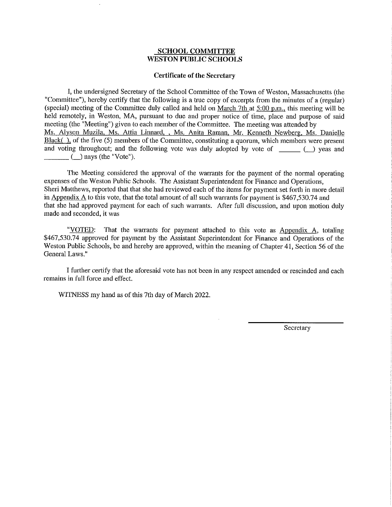#### **SCHOOL COMMITTEE WESTON PUBLIC SCHOOLS**

#### **Certificate of the Secretary**

I, the undersigned Secretary of the School Committee of the Town of Weston, Massachusetts (the "Committee"), hereby certify that the following is a true copy of excerpts from the minutes of a (regular) (special) meeting of the Committee duly called and held on March 7th at 5:00 p.m., this meeting will be held remotely, in Weston, MA, pursuant to due and proper notice of time, place and purpose of said meeting (the "Meeting") given to each member of the Committee. The meeting was attended by Ms. Alyson Muzila, Ms. Attia Linnard, , Ms. Anita Raman, Mr. Kenneth Newberg, Ms. Danielle Black(), of the five (5) members of the Committee, constituting a quorum, which members were present and voting throughout; and the following vote was duly adopted by vote of  $\qquad \qquad$  ( $\qquad$ ) yeas and  $($ ) nays (the "Vote").

The Meeting considered the approval of the warrants for the payment of the normal operating expenses of the Weston Public Schools. The Assistant Superintendent for Finance and Operations. Sheri Matthews, reported that that she had reviewed each of the items for payment set forth in more detail in Appendix A to this vote, that the total amount of all such warrants for payment is  $$467,530.74$  and that she had approved payment for each of such warrants. After full discussion, and upon motion duly made and seconded, it was

"VOTED: That the warrants for payment attached to this vote as  $\Delta p$  endix  $\Delta$ , totaling \$467,530.74 approved for payment by the Assistant Superintendent for Finance and Operations of the Weston Public Schools, be and hereby are approved, within the meaning of Chapter 41, Section 56 of the General Laws."

I further certify that the aforesaid vote has not been in any respect amended or rescinded and each remains in full force and effect.

WITNESS my hand as of this 7th day of March 2022.

Secretary